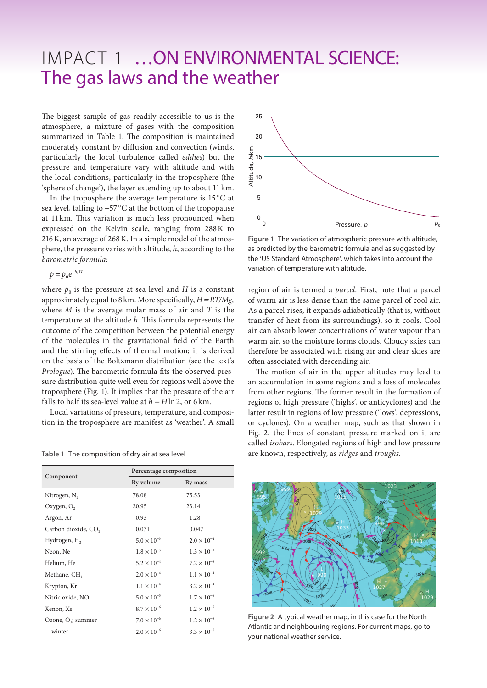## IMPACT 1 …ON ENVIRONMENTAL SCIENCE: The gas laws and the weather

The biggest sample of gas readily accessible to us is the atmosphere, a mixture of gases with the composition summarized in Table 1. The composition is maintained moderately constant by diffusion and convection (winds, particularly the local turbulence called *eddies*) but the pressure and temperature vary with altitude and with the local conditions, particularly in the troposphere (the 'sphere of change'), the layer extending up to about 11km.

In the troposphere the average temperature is 15 °C at sea level, falling to −57 °C at the bottom of the tropopause at 11 km. This variation is much less pronounced when expressed on the Kelvin scale, ranging from 288K to 216K, an average of 268K. In a simple model of the atmosphere, the pressure varies with altitude, *h*, according to the *barometric formula:*

$$
p = p_0 e^{-h/H}
$$

where  $p_0$  is the pressure at sea level and *H* is a constant approximately equal to 8 km. More specifically, *H* = *RT/Mg,*  where *M* is the average molar mass of air and *T* is the temperature at the altitude *h*. This formula represents the outcome of the competition between the potential energy of the molecules in the gravitational field of the Earth and the stirring effects of thermal motion; it is derived on the basis of the Boltzmann distribution (see the text's *Prologue*). The barometric formula fits the observed pressure distribution quite well even for regions well above the troposphere (Fig. 1). It implies that the pressure of the air falls to half its sea-level value at  $h = H \ln 2$ , or 6 km.

Local variations of pressure, temperature, and composition in the troposphere are manifest as 'weather'. A small

| Component                       | Percentage composition |                      |
|---------------------------------|------------------------|----------------------|
|                                 | By volume              | By mass              |
| Nitrogen, $N_2$                 | 78.08                  | 75.53                |
| Oxygen, O <sub>2</sub>          | 20.95                  | 23.14                |
| Argon, Ar                       | 0.93                   | 1.28                 |
| Carbon dioxide, CO <sub>2</sub> | 0.031                  | 0.047                |
| Hydrogen, H <sub>2</sub>        | $5.0 \times 10^{-3}$   | $2.0 \times 10^{-4}$ |
| Neon, Ne                        | $1.8 \times 10^{-3}$   | $1.3 \times 10^{-3}$ |
| Helium, He                      | $5.2 \times 10^{-4}$   | $7.2 \times 10^{-5}$ |
| Methane, CH <sub>4</sub>        | $2.0 \times 10^{-4}$   | $1.1 \times 10^{-4}$ |
| Krypton, Kr                     | $1.1 \times 10^{-4}$   | $3.2 \times 10^{-4}$ |
| Nitric oxide, NO                | $5.0 \times 10^{-5}$   | $1.7 \times 10^{-6}$ |
| Xenon, Xe                       | $8.7 \times 10^{-6}$   | $1.2 \times 10^{-5}$ |
| Ozone, $O_3$ ; summer           | $7.0 \times 10^{-6}$   | $1.2 \times 10^{-5}$ |
| winter                          | $2.0 \times 10^{-6}$   | $3.3 \times 10^{-6}$ |



**Figure 1** The variation of atmospheric pressure with altitude, as predicted by the barometric formula and as suggested by the 'US Standard Atmosphere', which takes into account the variation of temperature with altitude.

region of air is termed a *parcel*. First, note that a parcel of warm air is less dense than the same parcel of cool air. As a parcel rises, it expands adiabatically (that is, without transfer of heat from its surroundings), so it cools. Cool air can absorb lower concentrations of water vapour than warm air, so the moisture forms clouds. Cloudy skies can therefore be associated with rising air and clear skies are often associated with descending air.

The motion of air in the upper altitudes may lead to an accumulation in some regions and a loss of molecules from other regions. The former result in the formation of regions of high pressure ('highs', or anticyclones) and the latter result in regions of low pressure ('lows', depressions, or cyclones). On a weather map, such as that shown in Fig. 2, the lines of constant pressure marked on it are called *isobars*. Elongated regions of high and low pressure Table 1 The composition of dry air at sea level are known, respectively, as *ridges* and *troughs*.



**Figure 2** A typical weather map, in this case for the North Atlantic and neighbouring regions. For current maps, go to your national weather service.